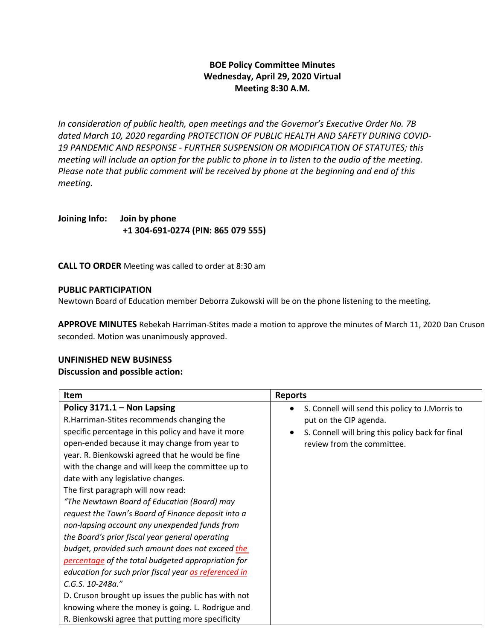# **BOE Policy Committee Minutes Wednesday, April 29, 2020 Virtual Meeting 8:30 A.M.**

*In consideration of public health, open meetings and the Governor's Executive Order No. 7B dated March 10, 2020 regarding PROTECTION OF PUBLIC HEALTH AND SAFETY DURING COVID-19 PANDEMIC AND RESPONSE - FURTHER SUSPENSION OR MODIFICATION OF STATUTES; this meeting will include an option for the public to phone in to listen to the audio of the meeting. Please note that public comment will be received by phone at the beginning and end of this meeting.*

**Joining Info: Join by phone +1 304-691-0274 (PIN: 865 079 555)**

**CALL TO ORDER** Meeting was called to order at 8:30 am

### **PUBLIC PARTICIPATION**

Newtown Board of Education member Deborra Zukowski will be on the phone listening to the meeting.

**APPROVE MINUTES** Rebekah Harriman-Stites made a motion to approve the minutes of March 11, 2020 Dan Cruson seconded. Motion was unanimously approved.

## **UNFINISHED NEW BUSINESS**

## **Discussion and possible action:**

| Item                                                  | <b>Reports</b>                                   |
|-------------------------------------------------------|--------------------------------------------------|
| Policy $3171.1 -$ Non Lapsing                         | S. Connell will send this policy to J. Morris to |
| R.Harriman-Stites recommends changing the             | put on the CIP agenda.                           |
| specific percentage in this policy and have it more   | S. Connell will bring this policy back for final |
| open-ended because it may change from year to         | review from the committee.                       |
| year. R. Bienkowski agreed that he would be fine      |                                                  |
| with the change and will keep the committee up to     |                                                  |
| date with any legislative changes.                    |                                                  |
| The first paragraph will now read:                    |                                                  |
| "The Newtown Board of Education (Board) may           |                                                  |
| request the Town's Board of Finance deposit into a    |                                                  |
| non-lapsing account any unexpended funds from         |                                                  |
| the Board's prior fiscal year general operating       |                                                  |
| budget, provided such amount does not exceed the      |                                                  |
| percentage of the total budgeted appropriation for    |                                                  |
| education for such prior fiscal year as referenced in |                                                  |
| C.G.S. 10-248a."                                      |                                                  |
| D. Cruson brought up issues the public has with not   |                                                  |
| knowing where the money is going. L. Rodrigue and     |                                                  |
| R. Bienkowski agree that putting more specificity     |                                                  |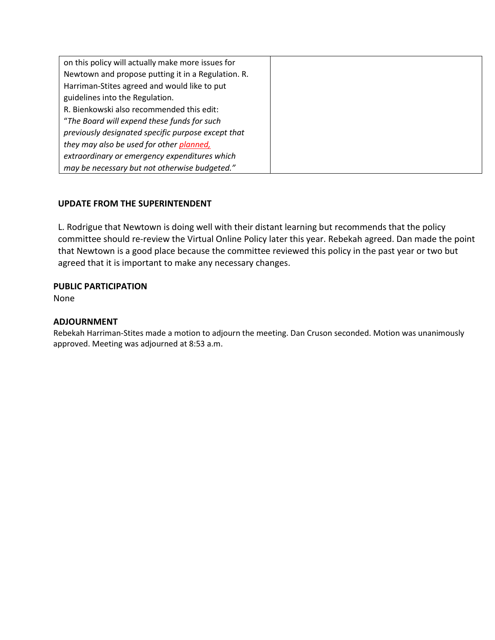| on this policy will actually make more issues for  |  |
|----------------------------------------------------|--|
| Newtown and propose putting it in a Regulation. R. |  |
| Harriman-Stites agreed and would like to put       |  |
| guidelines into the Regulation.                    |  |
| R. Bienkowski also recommended this edit:          |  |
| "The Board will expend these funds for such        |  |
| previously designated specific purpose except that |  |
| they may also be used for other planned,           |  |
| extraordinary or emergency expenditures which      |  |
| may be necessary but not otherwise budgeted."      |  |

# **UPDATE FROM THE SUPERINTENDENT**

L. Rodrigue that Newtown is doing well with their distant learning but recommends that the policy committee should re-review the Virtual Online Policy later this year. Rebekah agreed. Dan made the point that Newtown is a good place because the committee reviewed this policy in the past year or two but agreed that it is important to make any necessary changes.

# **PUBLIC PARTICIPATION**

None

## **ADJOURNMENT**

Rebekah Harriman-Stites made a motion to adjourn the meeting. Dan Cruson seconded. Motion was unanimously approved. Meeting was adjourned at 8:53 a.m.